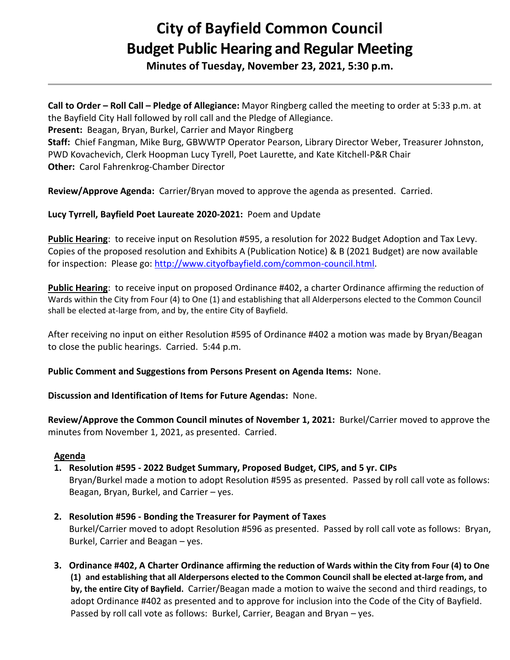## **City of Bayfield Common Council Budget Public Hearing and Regular Meeting**

**Minutes of Tuesday, November 23, 2021, 5:30 p.m.** 

**Call to Order – Roll Call – Pledge of Allegiance:** Mayor Ringberg called the meeting to order at 5:33 p.m. at the Bayfield City Hall followed by roll call and the Pledge of Allegiance.

**Present:** Beagan, Bryan, Burkel, Carrier and Mayor Ringberg

**Staff:** Chief Fangman, Mike Burg, GBWWTP Operator Pearson, Library Director Weber, Treasurer Johnston, PWD Kovachevich, Clerk Hoopman Lucy Tyrell, Poet Laurette, and Kate Kitchell-P&R Chair **Other:** Carol Fahrenkrog-Chamber Director

**Review/Approve Agenda:** Carrier/Bryan moved to approve the agenda as presented. Carried.

**Lucy Tyrrell, Bayfield Poet Laureate 2020-2021:** Poem and Update

**Public Hearing**: to receive input on Resolution #595, a resolution for 2022 Budget Adoption and Tax Levy. Copies of the proposed resolution and Exhibits A (Publication Notice) & B (2021 Budget) are now available for inspection: Please go: [http://www.cityofbayfield.com/common-council.html.](http://www.cityofbayfield.com/common-council.html)

**Public Hearing**: to receive input on proposed Ordinance #402, a charter Ordinance affirming the reduction of Wards within the City from Four (4) to One (1) and establishing that all Alderpersons elected to the Common Council shall be elected at-large from, and by, the entire City of Bayfield.

After receiving no input on either Resolution #595 of Ordinance #402 a motion was made by Bryan/Beagan to close the public hearings. Carried. 5:44 p.m.

**Public Comment and Suggestions from Persons Present on Agenda Items:** None.

**Discussion and Identification of Items for Future Agendas:** None.

**Review/Approve the Common Council minutes of November 1, 2021:** Burkel/Carrier moved to approve the minutes from November 1, 2021, as presented. Carried.

## **Agenda**

- **1. Resolution #595 - 2022 Budget Summary, Proposed Budget, CIPS, and 5 yr. CIPs** Bryan/Burkel made a motion to adopt Resolution #595 as presented. Passed by roll call vote as follows: Beagan, Bryan, Burkel, and Carrier – yes.
- **2. Resolution #596 - Bonding the Treasurer for Payment of Taxes** Burkel/Carrier moved to adopt Resolution #596 as presented. Passed by roll call vote as follows: Bryan, Burkel, Carrier and Beagan – yes.
- **3. Ordinance #402, A Charter Ordinance affirming the reduction of Wards within the City from Four (4) to One (1) and establishing that all Alderpersons elected to the Common Council shall be elected at-large from, and by, the entire City of Bayfield.** Carrier/Beagan made a motion to waive the second and third readings, to adopt Ordinance #402 as presented and to approve for inclusion into the Code of the City of Bayfield. Passed by roll call vote as follows: Burkel, Carrier, Beagan and Bryan – yes.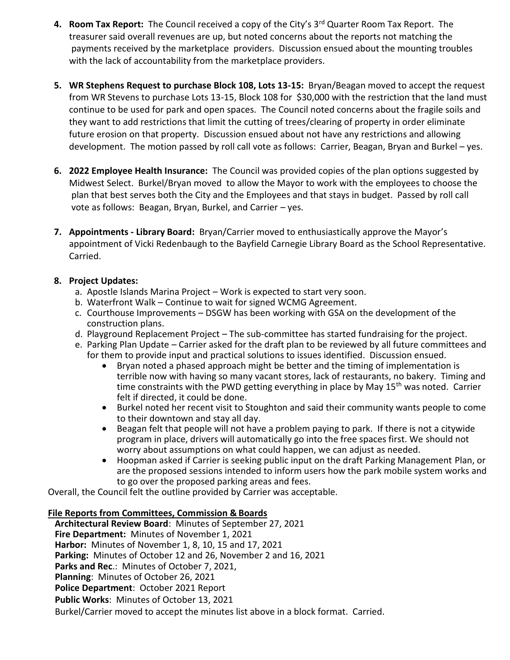- **4. Room Tax Report:** The Council received a copy of the City's 3rd Quarter Room Tax Report. The treasurer said overall revenues are up, but noted concerns about the reports not matching the payments received by the marketplace providers. Discussion ensued about the mounting troubles with the lack of accountability from the marketplace providers.
- **5. WR Stephens Request to purchase Block 108, Lots 13-15:** Bryan/Beagan moved to accept the request from WR Stevens to purchase Lots 13-15, Block 108 for \$30,000 with the restriction that the land must continue to be used for park and open spaces. The Council noted concerns about the fragile soils and they want to add restrictions that limit the cutting of trees/clearing of property in order eliminate future erosion on that property. Discussion ensued about not have any restrictions and allowing development. The motion passed by roll call vote as follows: Carrier, Beagan, Bryan and Burkel – yes.
- **6. 2022 Employee Health Insurance:** The Council was provided copies of the plan options suggested by Midwest Select. Burkel/Bryan moved to allow the Mayor to work with the employees to choose the plan that best serves both the City and the Employees and that stays in budget. Passed by roll call vote as follows: Beagan, Bryan, Burkel, and Carrier – yes.
- **7. Appointments - Library Board:** Bryan/Carrier moved to enthusiastically approve the Mayor's appointment of Vicki Redenbaugh to the Bayfield Carnegie Library Board as the School Representative. Carried.

## **8. Project Updates:**

- a. Apostle Islands Marina Project Work is expected to start very soon.
- b. Waterfront Walk Continue to wait for signed WCMG Agreement.
- c. Courthouse Improvements DSGW has been working with GSA on the development of the construction plans.
- d. Playground Replacement Project The sub-committee has started fundraising for the project.
- e. Parking Plan Update Carrier asked for the draft plan to be reviewed by all future committees and for them to provide input and practical solutions to issues identified. Discussion ensued.
	- Bryan noted a phased approach might be better and the timing of implementation is terrible now with having so many vacant stores, lack of restaurants, no bakery. Timing and time constraints with the PWD getting everything in place by May 15<sup>th</sup> was noted. Carrier felt if directed, it could be done.
	- Burkel noted her recent visit to Stoughton and said their community wants people to come to their downtown and stay all day.
	- Beagan felt that people will not have a problem paying to park. If there is not a citywide program in place, drivers will automatically go into the free spaces first. We should not worry about assumptions on what could happen, we can adjust as needed.
	- Hoopman asked if Carrier is seeking public input on the draft Parking Management Plan, or are the proposed sessions intended to inform users how the park mobile system works and to go over the proposed parking areas and fees.

Overall, the Council felt the outline provided by Carrier was acceptable.

## **File Reports from Committees, Commission & Boards**

 **Architectural Review Board**: Minutes of September 27, 2021  **Fire Department:** Minutes of November 1, 2021  **Harbor:** Minutes of November 1, 8, 10, 15 and 17, 2021  **Parking:** Minutes of October 12 and 26, November 2 and 16, 2021 **Parks and Rec**.: Minutes of October 7, 2021,  **Planning**: Minutes of October 26, 2021  **Police Department**: October 2021 Report  **Public Works**: Minutes of October 13, 2021 Burkel/Carrier moved to accept the minutes list above in a block format. Carried.